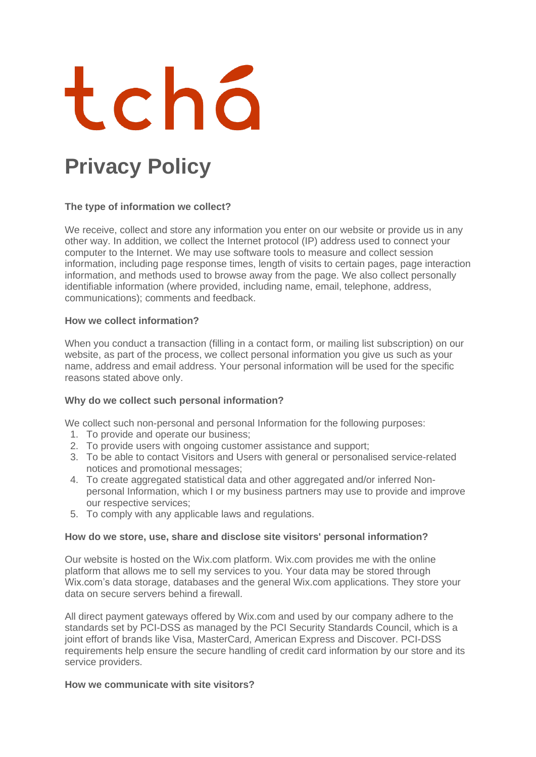

# **Privacy Policy**

# **The type of information we collect?**

We receive, collect and store any information you enter on our website or provide us in any other way. In addition, we collect the Internet protocol (IP) address used to connect your computer to the Internet. We may use software tools to measure and collect session information, including page response times, length of visits to certain pages, page interaction information, and methods used to browse away from the page. We also collect personally identifiable information (where provided, including name, email, telephone, address, communications); comments and feedback.

## **How we collect information?**

When you conduct a transaction (filling in a contact form, or mailing list subscription) on our website, as part of the process, we collect personal information you give us such as your name, address and email address. Your personal information will be used for the specific reasons stated above only.

## **Why do we collect such personal information?**

We collect such non-personal and personal Information for the following purposes:

- 1. To provide and operate our business;
- 2. To provide users with ongoing customer assistance and support;
- 3. To be able to contact Visitors and Users with general or personalised service-related notices and promotional messages;
- 4. To create aggregated statistical data and other aggregated and/or inferred Nonpersonal Information, which I or my business partners may use to provide and improve our respective services;
- 5. To comply with any applicable laws and regulations.

## **How do we store, use, share and disclose site visitors' personal information?**

Our website is hosted on the Wix.com platform. Wix.com provides me with the online platform that allows me to sell my services to you. Your data may be stored through Wix.com's data storage, databases and the general Wix.com applications. They store your data on secure servers behind a firewall.

All direct payment gateways offered by Wix.com and used by our company adhere to the standards set by PCI-DSS as managed by the PCI Security Standards Council, which is a joint effort of brands like Visa, MasterCard, American Express and Discover. PCI-DSS requirements help ensure the secure handling of credit card information by our store and its service providers.

## **How we communicate with site visitors?**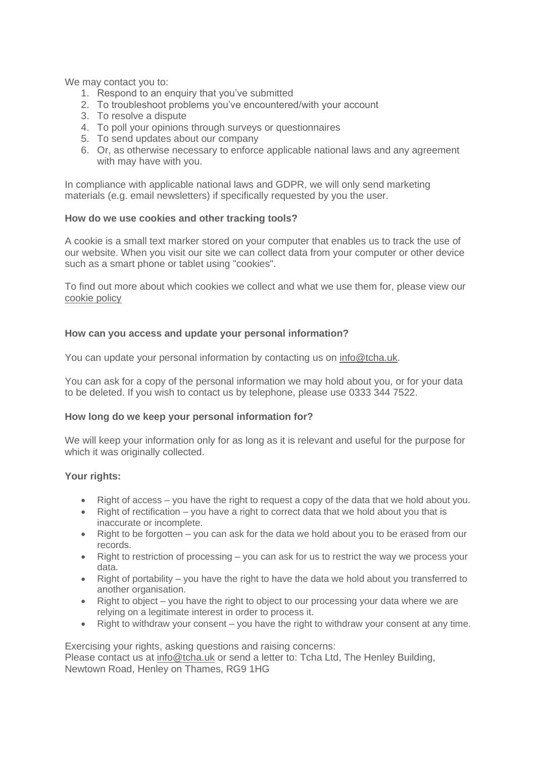We may contact you to:

- 1. Respond to an enquiry that you've submitted
- 2. To troubleshoot problems you've encountered/with your account
- 3. To resolve a dispute
- 4. To poll your opinions through surveys or questionnaires
- 5. To send updates about our company
- 6. Or, as otherwise necessary to enforce applicable national laws and any agreement with may have with you.

In compliance with applicable national laws and GDPR, we will only send marketing materials (e.g. email newsletters) if specifically requested by you the user.

## **How do we use cookies and other tracking tools?**

A cookie is a small text marker stored on your computer that enables us to track the use of our website. When you visit our site we can collect data from your computer or other device such as a smart phone or tablet using "cookies".

To find out more about which cookies we collect and what we use them for, please view our [cookie](https://9147050d-fd9c-4cb6-824a-5bcdbf0ee664.filesusr.com/ugd/eccd63_a5aa5a56679e417081c0fb693725180f.pdf) policy

## **How can you access and update your personal information?**

You can update your personal information by contacting us on [info@tcha.uk.](mailto:info@tcha.uk)

You can ask for a copy of the personal information we may hold about you, or for your data to be deleted. If you wish to contact us by telephone, please use 0333 344 7522.

#### **How long do we keep your personal information for?**

We will keep your information only for as long as it is relevant and useful for the purpose for which it was originally collected.

#### **Your rights:**

- Right of access you have the right to request a copy of the data that we hold about you.
- $\bullet$  Right of rectification you have a right to correct data that we hold about you that is inaccurate or incomplete.
- Right to be forgotten you can ask for the data we hold about you to be erased from our records.
- Right to restriction of processing you can ask for us to restrict the way we process your data.
- Right of portability you have the right to have the data we hold about you transferred to another organisation.
- Right to object you have the right to object to our processing your data where we are relying on a legitimate interest in order to process it.
- Right to withdraw your consent you have the right to withdraw your consent at any time.

Exercising your rights, asking questions and raising concerns: Please contact us at [info@tcha.uk](mailto:info@tcha.uk) or send a letter to: Tcha Ltd, The Henley Building,

Newtown Road, Henley on Thames, RG9 1HG